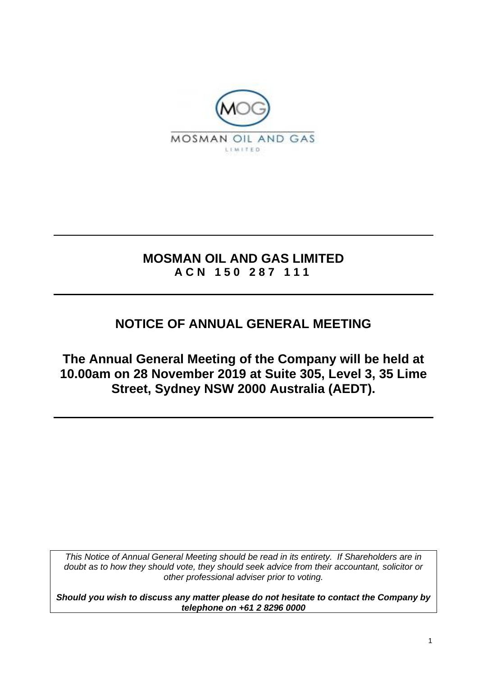

### **MOSMAN OIL AND GAS LIMITED A C N 1 5 0 2 8 7 1 1 1**

# **NOTICE OF ANNUAL GENERAL MEETING**

**The Annual General Meeting of the Company will be held at 10.00am on 28 November 2019 at Suite 305, Level 3, 35 Lime Street, Sydney NSW 2000 Australia (AEDT).**

*This Notice of Annual General Meeting should be read in its entirety. If Shareholders are in doubt as to how they should vote, they should seek advice from their accountant, solicitor or other professional adviser prior to voting.*

*Should you wish to discuss any matter please do not hesitate to contact the Company by telephone on +61 2 8296 0000*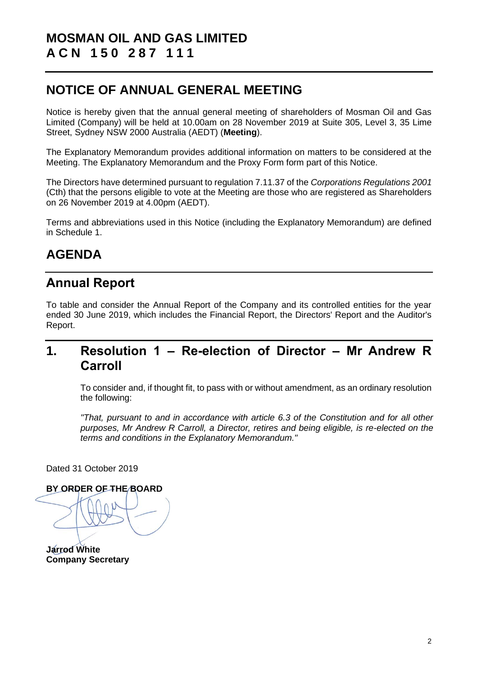## **NOTICE OF ANNUAL GENERAL MEETING**

Notice is hereby given that the annual general meeting of shareholders of Mosman Oil and Gas Limited (Company) will be held at 10.00am on 28 November 2019 at Suite 305, Level 3, 35 Lime Street, Sydney NSW 2000 Australia (AEDT) (**Meeting**).

The Explanatory Memorandum provides additional information on matters to be considered at the Meeting. The Explanatory Memorandum and the Proxy Form form part of this Notice.

The Directors have determined pursuant to regulation 7.11.37 of the *Corporations Regulations 2001* (Cth) that the persons eligible to vote at the Meeting are those who are registered as Shareholders on 26 November 2019 at 4.00pm (AEDT).

Terms and abbreviations used in this Notice (including the Explanatory Memorandum) are defined in Schedule 1.

# **AGENDA**

## **Annual Report**

To table and consider the Annual Report of the Company and its controlled entities for the year ended 30 June 2019, which includes the Financial Report, the Directors' Report and the Auditor's Report.

## <span id="page-1-0"></span>**1. Resolution 1 – Re-election of Director – Mr Andrew R Carroll**

To consider and, if thought fit, to pass with or without amendment, as an ordinary resolution the following:

*"That, pursuant to and in accordance with article 6.3 of the Constitution and for all other purposes, Mr Andrew R Carroll, a Director, retires and being eligible, is re-elected on the terms and conditions in the Explanatory Memorandum."*

Dated 31 October 2019

**BY ORDER OF THE BOARD**

**Jarrod White Company Secretary**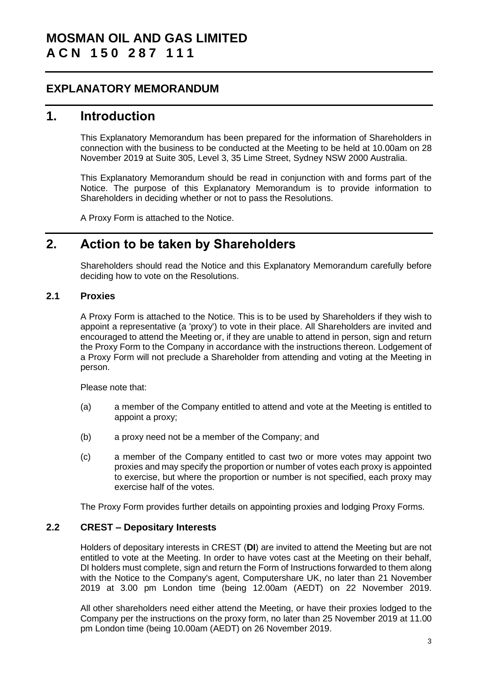### **EXPLANATORY MEMORANDUM**

### **1. Introduction**

This Explanatory Memorandum has been prepared for the information of Shareholders in connection with the business to be conducted at the Meeting to be held at 10.00am on 28 November 2019 at Suite 305, Level 3, 35 Lime Street, Sydney NSW 2000 Australia.

This Explanatory Memorandum should be read in conjunction with and forms part of the Notice. The purpose of this Explanatory Memorandum is to provide information to Shareholders in deciding whether or not to pass the Resolutions.

A Proxy Form is attached to the Notice.

### **2. Action to be taken by Shareholders**

Shareholders should read the Notice and this Explanatory Memorandum carefully before deciding how to vote on the Resolutions.

### **2.1 Proxies**

A Proxy Form is attached to the Notice. This is to be used by Shareholders if they wish to appoint a representative (a 'proxy') to vote in their place. All Shareholders are invited and encouraged to attend the Meeting or, if they are unable to attend in person, sign and return the Proxy Form to the Company in accordance with the instructions thereon. Lodgement of a Proxy Form will not preclude a Shareholder from attending and voting at the Meeting in person.

Please note that:

- (a) a member of the Company entitled to attend and vote at the Meeting is entitled to appoint a proxy;
- (b) a proxy need not be a member of the Company; and
- (c) a member of the Company entitled to cast two or more votes may appoint two proxies and may specify the proportion or number of votes each proxy is appointed to exercise, but where the proportion or number is not specified, each proxy may exercise half of the votes.

The Proxy Form provides further details on appointing proxies and lodging Proxy Forms.

### <span id="page-2-0"></span>**2.2 CREST – Depositary Interests**

Holders of depositary interests in CREST (**DI**) are invited to attend the Meeting but are not entitled to vote at the Meeting. In order to have votes cast at the Meeting on their behalf, DI holders must complete, sign and return the Form of Instructions forwarded to them along with the Notice to the Company's agent, Computershare UK, no later than 21 November 2019 at 3.00 pm London time (being 12.00am (AEDT) on 22 November 2019.

All other shareholders need either attend the Meeting, or have their proxies lodged to the Company per the instructions on the proxy form, no later than 25 November 2019 at 11.00 pm London time (being 10.00am (AEDT) on 26 November 2019.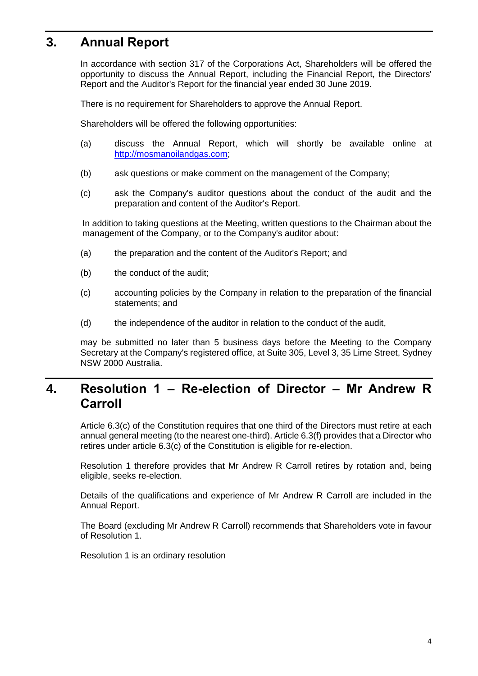# **3. Annual Report**

In accordance with section 317 of the Corporations Act, Shareholders will be offered the opportunity to discuss the Annual Report, including the Financial Report, the Directors' Report and the Auditor's Report for the financial year ended 30 June 2019.

There is no requirement for Shareholders to approve the Annual Report.

Shareholders will be offered the following opportunities:

- (a) discuss the Annual Report, which will shortly be available online at http://mosmanoilandgas.com;
- (b) ask questions or make comment on the management of the Company;
- (c) ask the Company's auditor questions about the conduct of the audit and the preparation and content of the Auditor's Report.

In addition to taking questions at the Meeting, written questions to the Chairman about the management of the Company, or to the Company's auditor about:

- (a) the preparation and the content of the Auditor's Report; and
- (b) the conduct of the audit;
- (c) accounting policies by the Company in relation to the preparation of the financial statements; and
- (d) the independence of the auditor in relation to the conduct of the audit,

may be submitted no later than 5 business days before the Meeting to the Company Secretary at the Company's registered office, at Suite 305, Level 3, 35 Lime Street, Sydney NSW 2000 Australia.

## **4. Resolution 1 – Re-election of Director – Mr Andrew R Carroll**

Article 6.3(c) of the Constitution requires that one third of the Directors must retire at each annual general meeting (to the nearest one-third). Article 6.3(f) provides that a Director who retires under article 6.3(c) of the Constitution is eligible for re-election.

Resolution [1](#page-1-0) therefore provides that Mr Andrew R Carroll retires by rotation and, being eligible, seeks re-election.

Details of the qualifications and experience of Mr Andrew R Carroll are included in the Annual Report.

The Board (excluding Mr Andrew R Carroll) recommends that Shareholders vote in favour of Resolution 1.

Resolution [1](#page-1-0) is an ordinary resolution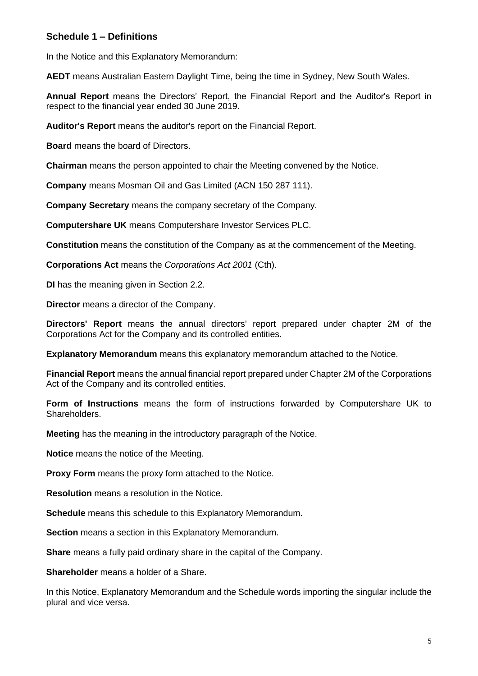### **Schedule 1 – Definitions**

In the Notice and this Explanatory Memorandum:

**AEDT** means Australian Eastern Daylight Time, being the time in Sydney, New South Wales.

**Annual Report** means the Directors' Report, the Financial Report and the Auditor's Report in respect to the financial year ended 30 June 2019.

**Auditor's Report** means the auditor's report on the Financial Report.

**Board** means the board of Directors.

**Chairman** means the person appointed to chair the Meeting convened by the Notice.

**Company** means Mosman Oil and Gas Limited (ACN 150 287 111).

**Company Secretary** means the company secretary of the Company.

**Computershare UK** means Computershare Investor Services PLC.

**Constitution** means the constitution of the Company as at the commencement of the Meeting.

**Corporations Act** means the *Corporations Act 2001* (Cth).

**DI** has the meaning given in Section [2.2.](#page-2-0)

**Director** means a director of the Company.

**Directors' Report** means the annual directors' report prepared under chapter 2M of the Corporations Act for the Company and its controlled entities.

**Explanatory Memorandum** means this explanatory memorandum attached to the Notice.

**Financial Report** means the annual financial report prepared under Chapter 2M of the Corporations Act of the Company and its controlled entities.

**Form of Instructions** means the form of instructions forwarded by Computershare UK to Shareholders.

**Meeting** has the meaning in the introductory paragraph of the Notice.

**Notice** means the notice of the Meeting.

**Proxy Form** means the proxy form attached to the Notice.

**Resolution** means a resolution in the Notice.

**Schedule** means this schedule to this Explanatory Memorandum.

**Section** means a section in this Explanatory Memorandum.

**Share** means a fully paid ordinary share in the capital of the Company.

**Shareholder** means a holder of a Share.

In this Notice, Explanatory Memorandum and the Schedule words importing the singular include the plural and vice versa.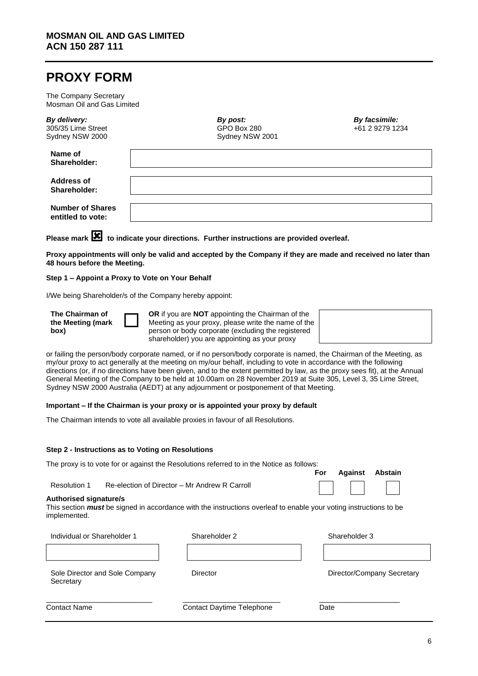## **PROXY FORM**

The Company Secretary Mosman Oil and Gas Limited

| By delivery:<br>305/35 Lime Street<br>Sydney NSW 2000 | By post:<br>GPO Box 280<br>Sydney NSW 2001 | By facsimile:<br>+61 2 9279 1234 |
|-------------------------------------------------------|--------------------------------------------|----------------------------------|
| Name of<br>Shareholder:                               |                                            |                                  |
| <b>Address of</b><br>Shareholder:                     |                                            |                                  |
| <b>Number of Shares</b><br>entitled to vote:          |                                            |                                  |

Please mark **X** to indicate your directions. Further instructions are provided overleaf.

**Proxy appointments will only be valid and accepted by the Company if they are made and received no later than 48 hours before the Meeting.**

#### **Step 1 – Appoint a Proxy to Vote on Your Behalf**

I/We being Shareholder/s of the Company hereby appoint:

**The Chairman of the Meeting (mark box)**



**OR** if you are **NOT** appointing the Chairman of the Meeting as your proxy, please write the name of the person or body corporate (excluding the registered shareholder) you are appointing as your proxy



or failing the person/body corporate named, or if no person/body corporate is named, the Chairman of the Meeting, as my/our proxy to act generally at the meeting on my/our behalf, including to vote in accordance with the following directions (or, if no directions have been given, and to the extent permitted by law, as the proxy sees fit), at the Annual General Meeting of the Company to be held at 10.00am on 28 November 2019 at Suite 305, Level 3, 35 Lime Street, Sydney NSW 2000 Australia (AEDT) at any adjournment or postponement of that Meeting.

#### **Important – If the Chairman is your proxy or is appointed your proxy by default**

The Chairman intends to vote all available proxies in favour of all Resolutions.

#### **Step 2 - Instructions as to Voting on Resolutions**

| The proxy is to vote for or against the Resolutions referred to in the Notice as follows: |                                               |  |                      |  |
|-------------------------------------------------------------------------------------------|-----------------------------------------------|--|----------------------|--|
|                                                                                           |                                               |  | For Against Abstain  |  |
| Resolution 1                                                                              | Re-election of Director – Mr Andrew R Carroll |  | $\Box$ $\Box$ $\Box$ |  |

#### **Authorised signature/s**

This section *must* be signed in accordance with the instructions overleaf to enable your voting instructions to be implemented.

| Individual or Shareholder 1                 | Shareholder 2                    | Shareholder 3              |
|---------------------------------------------|----------------------------------|----------------------------|
|                                             |                                  |                            |
| Sole Director and Sole Company<br>Secretary | Director                         | Director/Company Secretary |
| <b>Contact Name</b>                         | <b>Contact Daytime Telephone</b> | Date                       |